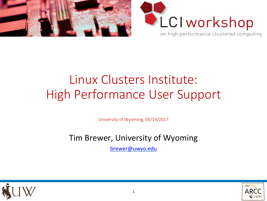



# Linux Clusters Institute: High Performance User Support

University of Wyoming, 05/19/2017

#### Tim Brewer, University of Wyoming

[brewer@uwyo.edu](mailto:brewer@uwyo.edu)



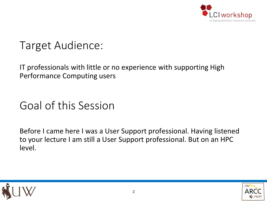

## Target Audience:

IT professionals with little or no experience with supporting High Performance Computing users

## Goal of this Session

Before I came here I was a User Support professional. Having listened to your lecture I am still a User Support professional. But on an HPC level.



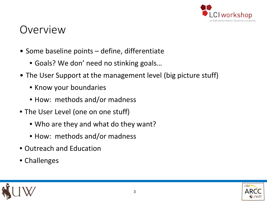

#### Overview

- Some baseline points define, differentiate
	- Goals? We don' need no stinking goals…
- The User Support at the management level (big picture stuff)
	- Know your boundaries
	- How: methods and/or madness
- The User Level (one on one stuff)
	- Who are they and what do they want?
	- How: methods and/or madness
- Outreach and Education
- Challenges



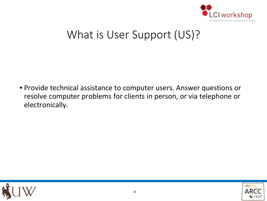

## What is User Support (US)?

• Provide technical assistance to computer users. Answer questions or resolve computer problems for clients in person, or via telephone or electronically.



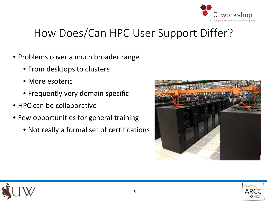

# How Does/Can HPC User Support Differ?

- Problems cover a much broader range
	- From desktops to clusters
	- More esoteric
	- Frequently very domain specific
- HPC can be collaborative
- Few opportunities for general training
	- Not really a formal set of certifications



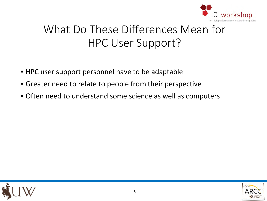

# What Do These Differences Mean for HPC User Support?

- HPC user support personnel have to be adaptable
- Greater need to relate to people from their perspective
- Often need to understand some science as well as computers



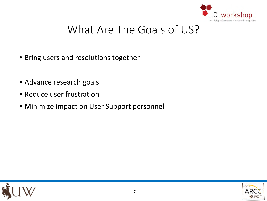

# What Are The Goals of US?

- Bring users and resolutions together
- Advance research goals
- Reduce user frustration
- Minimize impact on User Support personnel



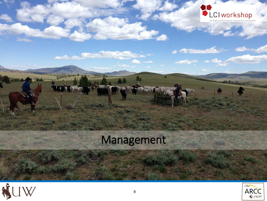

# Management

والأحمار الموارد

**Company of the party** 

الأثارية فليجعل



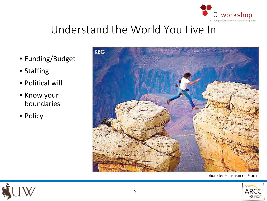

# Understand the World You Live In

- Funding/Budget
- Staffing
- Political will
- Know your boundaries
- Policy



photo by Hans van de Vorst



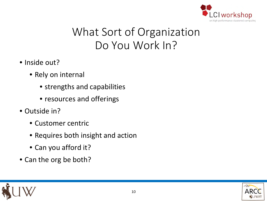

# What Sort of Organization Do You Work In?

- Inside out?
	- Rely on internal
		- strengths and capabilities
		- resources and offerings
- Outside in?
	- Customer centric
	- Requires both insight and action
	- Can you afford it?
- Can the org be both?



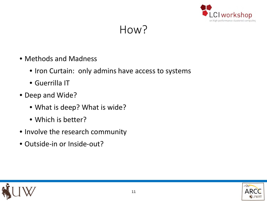

#### How?

- Methods and Madness
	- Iron Curtain: only admins have access to systems
	- Guerrilla IT
- Deep and Wide?
	- What is deep? What is wide?
	- Which is better?
- Involve the research community
- Outside-in or Inside-out?

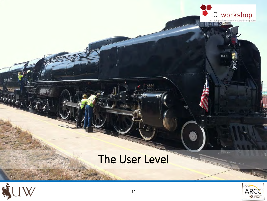



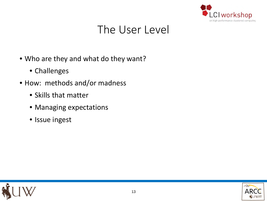

## The User Level

- Who are they and what do they want?
	- Challenges
- How: methods and/or madness
	- Skills that matter
	- Managing expectations
	- Issue ingest



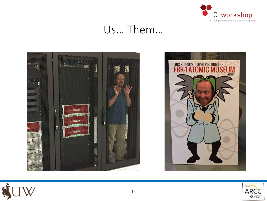

#### Us… Them…







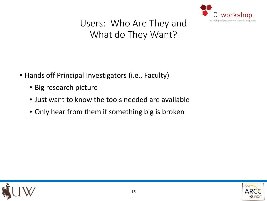

#### Users: Who Are They and What do They Want?

- Hands off Principal Investigators (i.e., Faculty)
	- Big research picture
	- Just want to know the tools needed are available
	- Only hear from them if something big is broken



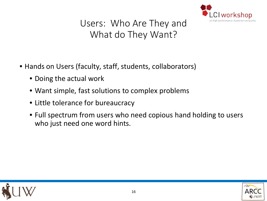

#### Users: Who Are They and What do They Want?

- Hands on Users (faculty, staff, students, collaborators)
	- Doing the actual work
	- Want simple, fast solutions to complex problems
	- Little tolerance for bureaucracy
	- Full spectrum from users who need copious hand holding to users who just need one word hints.



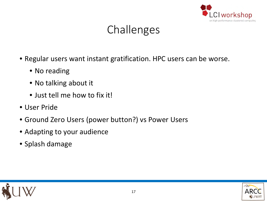

# Challenges

- Regular users want instant gratification. HPC users can be worse.
	- No reading
	- No talking about it
	- Just tell me how to fix it!
- User Pride
- Ground Zero Users (power button?) vs Power Users
- Adapting to your audience
- Splash damage

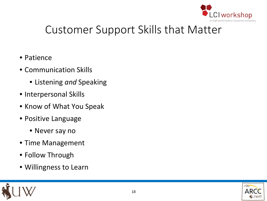

# Customer Support Skills that Matter

- Patience
- Communication Skills
	- Listening *and* Speaking
- Interpersonal Skills
- Know of What You Speak
- Positive Language
	- Never say no
- Time Management
- Follow Through
- Willingness to Learn



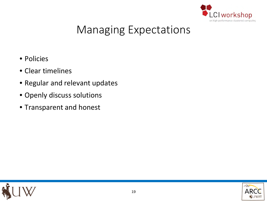

# Managing Expectations

- Policies
- Clear timelines
- Regular and relevant updates
- Openly discuss solutions
- Transparent and honest



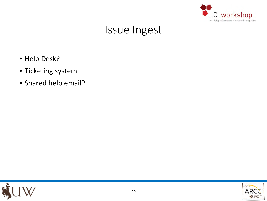

## Issue Ingest

- Help Desk?
- Ticketing system
- Shared help email?



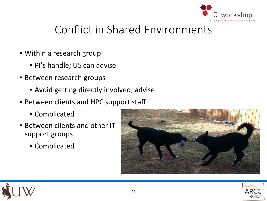

# Conflict in Shared Environments

- Within a research group
	- PI's handle; US can advise
- Between research groups
	- Avoid getting directly involved; advise
- Between clients and HPC support staff
	- Complicated
- Between clients and other IT support groups
	- Complicated





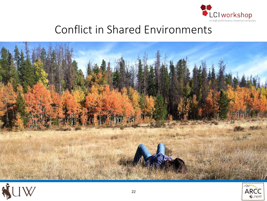

# Conflict in Shared Environments





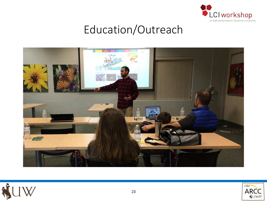

## Education/Outreach





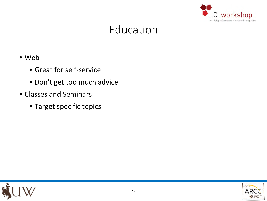

## Education

- Web
	- Great for self-service
	- Don't get too much advice
- Classes and Seminars
	- Target specific topics



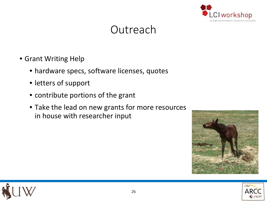

#### **Outreach**

- Grant Writing Help
	- hardware specs, software licenses, quotes
	- letters of support
	- contribute portions of the grant
	- Take the lead on new grants for more resources in house with researcher input





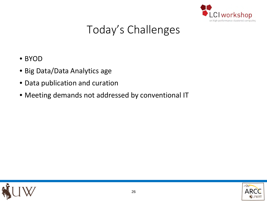

# Today's Challenges

- BYOD
- Big Data/Data Analytics age
- Data publication and curation
- Meeting demands not addressed by conventional IT



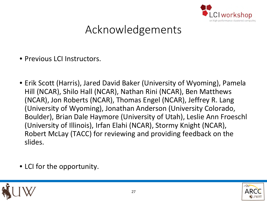

# Acknowledgements

- Previous I CI Instructors.
- Erik Scott (Harris), Jared David Baker (University of Wyoming), Pamela Hill (NCAR), Shilo Hall (NCAR), Nathan Rini (NCAR), Ben Matthews (NCAR), Jon Roberts (NCAR), Thomas Engel (NCAR), Jeffrey R. Lang (University of Wyoming), Jonathan Anderson (University Colorado, Boulder), Brian Dale Haymore (University of Utah), Leslie Ann Froeschl (University of Illinois), Irfan Elahi (NCAR), Stormy Knight (NCAR), Robert McLay (TACC) for reviewing and providing feedback on the slides.
- LCI for the opportunity.